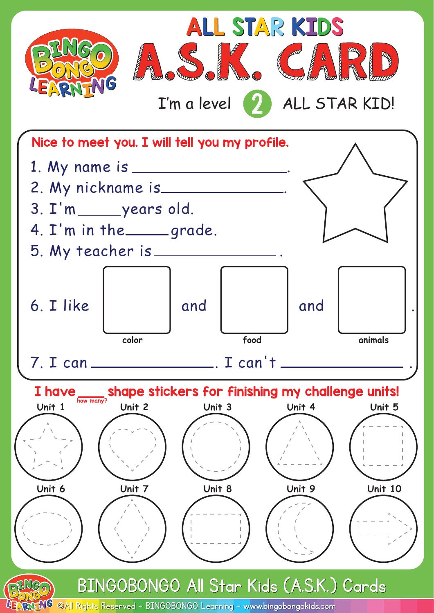